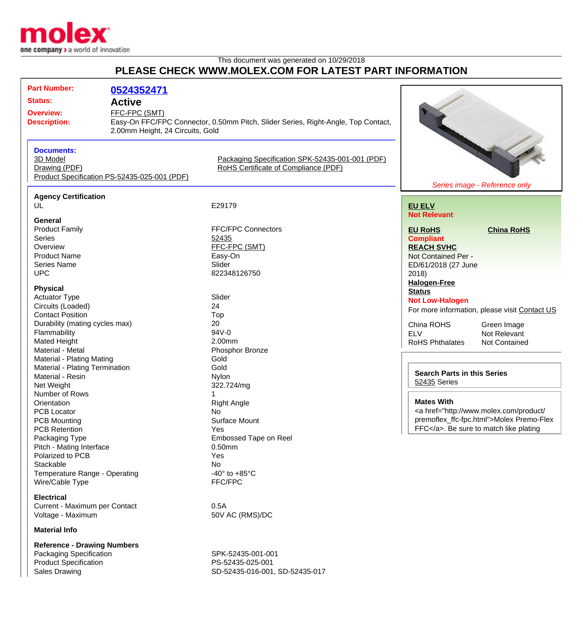

Product Specification PS-52435-025-001

Sales Drawing Sales Drawing SD-52435-016-001, SD-52435-017

## This document was generated on 10/29/2018 **PLEASE CHECK WWW.MOLEX.COM FOR LATEST PART INFORMATION**

| <b>Part Number:</b>                | 0524352471                                   |                                                                                   |                                                                                                                                                                                                                                                                                                        |                                               |
|------------------------------------|----------------------------------------------|-----------------------------------------------------------------------------------|--------------------------------------------------------------------------------------------------------------------------------------------------------------------------------------------------------------------------------------------------------------------------------------------------------|-----------------------------------------------|
| <b>Status:</b>                     | <b>Active</b>                                |                                                                                   |                                                                                                                                                                                                                                                                                                        |                                               |
| <b>Overview:</b>                   | FFC-FPC (SMT)                                |                                                                                   |                                                                                                                                                                                                                                                                                                        |                                               |
| <b>Description:</b>                |                                              | Easy-On FFC/FPC Connector, 0.50mm Pitch, Slider Series, Right-Angle, Top Contact, |                                                                                                                                                                                                                                                                                                        |                                               |
|                                    |                                              | 2.00mm Height, 24 Circuits, Gold                                                  |                                                                                                                                                                                                                                                                                                        |                                               |
|                                    |                                              |                                                                                   |                                                                                                                                                                                                                                                                                                        |                                               |
| <b>Documents:</b>                  |                                              |                                                                                   |                                                                                                                                                                                                                                                                                                        |                                               |
| 3D Model                           |                                              | Packaging Specification SPK-52435-001-001 (PDF)                                   |                                                                                                                                                                                                                                                                                                        |                                               |
| Drawing (PDF)                      |                                              | RoHS Certificate of Compliance (PDF)                                              |                                                                                                                                                                                                                                                                                                        |                                               |
|                                    | Product Specification PS-52435-025-001 (PDF) |                                                                                   |                                                                                                                                                                                                                                                                                                        |                                               |
|                                    |                                              |                                                                                   |                                                                                                                                                                                                                                                                                                        | Series image - Reference only                 |
| <b>Agency Certification</b>        |                                              |                                                                                   |                                                                                                                                                                                                                                                                                                        |                                               |
| UL                                 |                                              | E29179                                                                            | <b>EU ELV</b>                                                                                                                                                                                                                                                                                          |                                               |
|                                    |                                              |                                                                                   | <b>Not Relevant</b>                                                                                                                                                                                                                                                                                    |                                               |
| General<br><b>Product Family</b>   |                                              | <b>FFC/FPC Connectors</b>                                                         |                                                                                                                                                                                                                                                                                                        | <b>China RoHS</b>                             |
| <b>Series</b>                      |                                              | 52435                                                                             | <b>EU RoHS</b><br><b>Compliant</b>                                                                                                                                                                                                                                                                     |                                               |
| Overview                           |                                              | FFC-FPC (SMT)                                                                     | <b>REACH SVHC</b>                                                                                                                                                                                                                                                                                      |                                               |
| <b>Product Name</b>                |                                              | Easy-On                                                                           | Not Contained Per -                                                                                                                                                                                                                                                                                    |                                               |
| Series Name                        |                                              | Slider                                                                            | ED/61/2018 (27 June                                                                                                                                                                                                                                                                                    |                                               |
| <b>UPC</b>                         |                                              | 822348126750                                                                      | 2018)                                                                                                                                                                                                                                                                                                  |                                               |
|                                    |                                              |                                                                                   | <b>Halogen-Free</b>                                                                                                                                                                                                                                                                                    |                                               |
| <b>Physical</b>                    |                                              |                                                                                   | <b>Status</b>                                                                                                                                                                                                                                                                                          |                                               |
| <b>Actuator Type</b>               |                                              | Slider                                                                            | <b>Not Low-Halogen</b>                                                                                                                                                                                                                                                                                 |                                               |
| Circuits (Loaded)                  |                                              | 24                                                                                |                                                                                                                                                                                                                                                                                                        | For more information, please visit Contact US |
| <b>Contact Position</b>            |                                              | Top                                                                               |                                                                                                                                                                                                                                                                                                        |                                               |
| Durability (mating cycles max)     |                                              | 20                                                                                | China ROHS                                                                                                                                                                                                                                                                                             | Green Image                                   |
| Flammability                       |                                              | 94V-0                                                                             | <b>ELV</b>                                                                                                                                                                                                                                                                                             | Not Relevant                                  |
| Mated Height                       |                                              | 2.00mm                                                                            | RoHS Phthalates                                                                                                                                                                                                                                                                                        | Not Contained                                 |
| Material - Metal                   |                                              | Phosphor Bronze                                                                   |                                                                                                                                                                                                                                                                                                        |                                               |
| <b>Material - Plating Mating</b>   |                                              | Gold                                                                              |                                                                                                                                                                                                                                                                                                        |                                               |
| Material - Plating Termination     |                                              | Gold                                                                              | <b>Search Parts in this Series</b>                                                                                                                                                                                                                                                                     |                                               |
| Material - Resin                   |                                              | Nylon                                                                             | 52435 Series                                                                                                                                                                                                                                                                                           |                                               |
| Net Weight                         |                                              | 322.724/mg                                                                        |                                                                                                                                                                                                                                                                                                        |                                               |
| Number of Rows                     |                                              |                                                                                   | <b>Mates With</b>                                                                                                                                                                                                                                                                                      |                                               |
| Orientation                        |                                              | <b>Right Angle</b>                                                                | <a href="http://www.molex.com/product/&lt;/td&gt;&lt;/tr&gt;&lt;tr&gt;&lt;td colspan=2&gt;PCB Locator&lt;br&gt;&lt;b&gt;PCB Mounting&lt;/b&gt;&lt;/td&gt;&lt;td&gt;No.&lt;br&gt;&lt;b&gt;Surface Mount&lt;/b&gt;&lt;/td&gt;&lt;td&gt;&lt;/td&gt;&lt;td&gt;premoflex_ffc-fpc.html">Molex Premo-Flex</a> |                                               |
| <b>PCB Retention</b>               |                                              | Yes                                                                               |                                                                                                                                                                                                                                                                                                        | FFC. Be sure to match like plating            |
| Packaging Type                     |                                              | <b>Embossed Tape on Reel</b>                                                      |                                                                                                                                                                                                                                                                                                        |                                               |
| Pitch - Mating Interface           |                                              | $0.50$ mm                                                                         |                                                                                                                                                                                                                                                                                                        |                                               |
| Polarized to PCB                   |                                              | Yes                                                                               |                                                                                                                                                                                                                                                                                                        |                                               |
| Stackable                          |                                              | No                                                                                |                                                                                                                                                                                                                                                                                                        |                                               |
| Temperature Range - Operating      |                                              | -40 $\degree$ to +85 $\degree$ C                                                  |                                                                                                                                                                                                                                                                                                        |                                               |
| Wire/Cable Type                    |                                              | FFC/FPC                                                                           |                                                                                                                                                                                                                                                                                                        |                                               |
| <b>Electrical</b>                  |                                              |                                                                                   |                                                                                                                                                                                                                                                                                                        |                                               |
| Current - Maximum per Contact      |                                              | 0.5A                                                                              |                                                                                                                                                                                                                                                                                                        |                                               |
| Voltage - Maximum                  |                                              | 50V AC (RMS)/DC                                                                   |                                                                                                                                                                                                                                                                                                        |                                               |
| <b>Material Info</b>               |                                              |                                                                                   |                                                                                                                                                                                                                                                                                                        |                                               |
| <b>Reference - Drawing Numbers</b> |                                              |                                                                                   |                                                                                                                                                                                                                                                                                                        |                                               |
| Packaging Specification            |                                              | SPK-52435-001-001                                                                 |                                                                                                                                                                                                                                                                                                        |                                               |